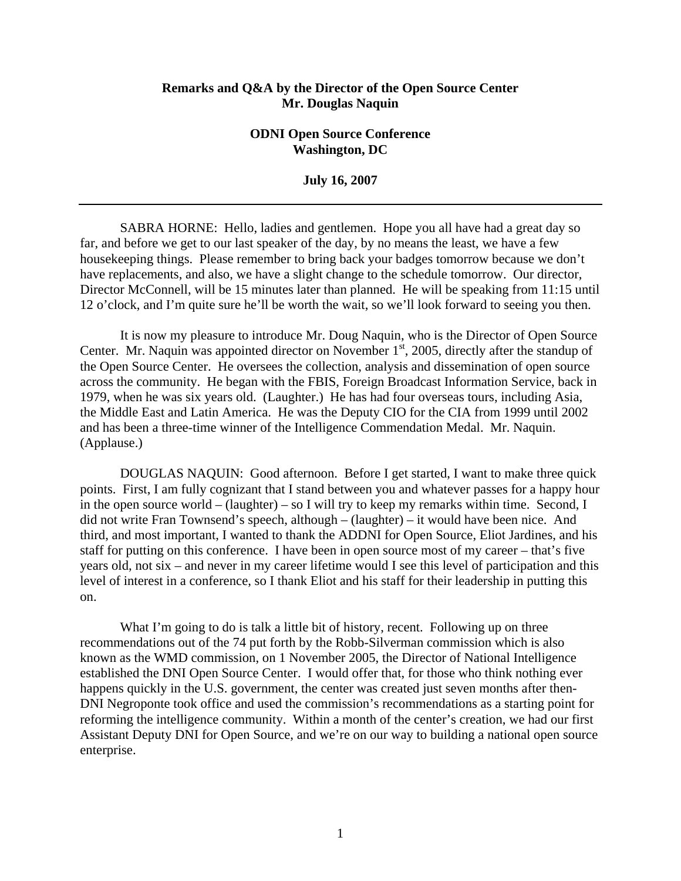## **Remarks and Q&A by the Director of the Open Source Center Mr. Douglas Naquin**

## **ODNI Open Source Conference Washington, DC**

**July 16, 2007** 

SABRA HORNE: Hello, ladies and gentlemen. Hope you all have had a great day so far, and before we get to our last speaker of the day, by no means the least, we have a few housekeeping things. Please remember to bring back your badges tomorrow because we don't have replacements, and also, we have a slight change to the schedule tomorrow. Our director, Director McConnell, will be 15 minutes later than planned. He will be speaking from 11:15 until 12 o'clock, and I'm quite sure he'll be worth the wait, so we'll look forward to seeing you then.

It is now my pleasure to introduce Mr. Doug Naquin, who is the Director of Open Source Center. Mr. Naquin was appointed director on November 1<sup>st</sup>, 2005, directly after the standup of the Open Source Center. He oversees the collection, analysis and dissemination of open source across the community. He began with the FBIS, Foreign Broadcast Information Service, back in 1979, when he was six years old. (Laughter.) He has had four overseas tours, including Asia, the Middle East and Latin America. He was the Deputy CIO for the CIA from 1999 until 2002 and has been a three-time winner of the Intelligence Commendation Medal. Mr. Naquin. (Applause.)

DOUGLAS NAQUIN: Good afternoon. Before I get started, I want to make three quick points. First, I am fully cognizant that I stand between you and whatever passes for a happy hour in the open source world – (laughter) – so I will try to keep my remarks within time. Second, I did not write Fran Townsend's speech, although – (laughter) – it would have been nice. And third, and most important, I wanted to thank the ADDNI for Open Source, Eliot Jardines, and his staff for putting on this conference. I have been in open source most of my career – that's five years old, not six – and never in my career lifetime would I see this level of participation and this level of interest in a conference, so I thank Eliot and his staff for their leadership in putting this on.

What I'm going to do is talk a little bit of history, recent. Following up on three recommendations out of the 74 put forth by the Robb-Silverman commission which is also known as the WMD commission, on 1 November 2005, the Director of National Intelligence established the DNI Open Source Center. I would offer that, for those who think nothing ever happens quickly in the U.S. government, the center was created just seven months after then-DNI Negroponte took office and used the commission's recommendations as a starting point for reforming the intelligence community. Within a month of the center's creation, we had our first Assistant Deputy DNI for Open Source, and we're on our way to building a national open source enterprise.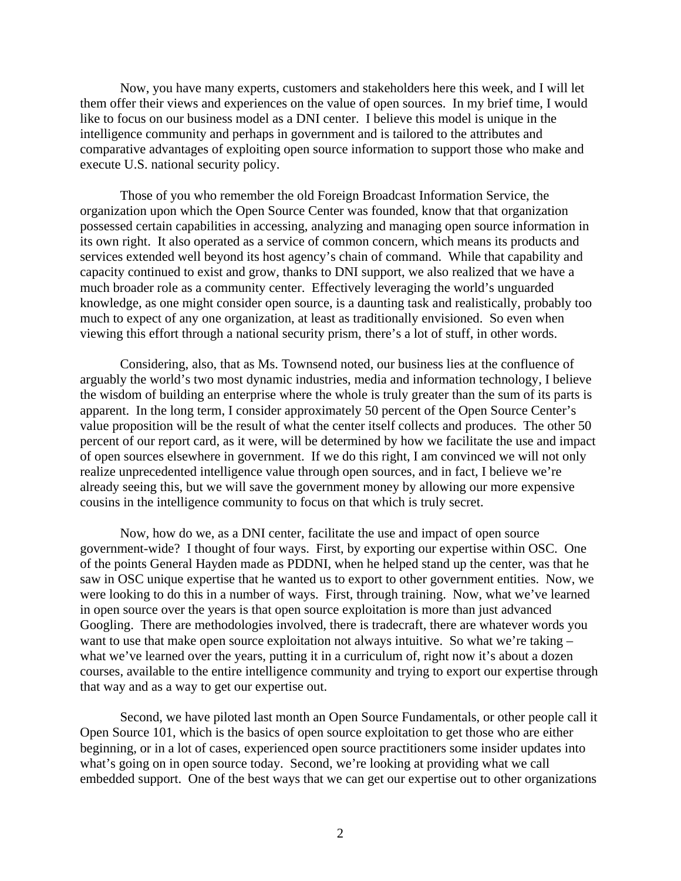Now, you have many experts, customers and stakeholders here this week, and I will let them offer their views and experiences on the value of open sources. In my brief time, I would like to focus on our business model as a DNI center. I believe this model is unique in the intelligence community and perhaps in government and is tailored to the attributes and comparative advantages of exploiting open source information to support those who make and execute U.S. national security policy.

Those of you who remember the old Foreign Broadcast Information Service, the organization upon which the Open Source Center was founded, know that that organization possessed certain capabilities in accessing, analyzing and managing open source information in its own right. It also operated as a service of common concern, which means its products and services extended well beyond its host agency's chain of command. While that capability and capacity continued to exist and grow, thanks to DNI support, we also realized that we have a much broader role as a community center. Effectively leveraging the world's unguarded knowledge, as one might consider open source, is a daunting task and realistically, probably too much to expect of any one organization, at least as traditionally envisioned. So even when viewing this effort through a national security prism, there's a lot of stuff, in other words.

Considering, also, that as Ms. Townsend noted, our business lies at the confluence of arguably the world's two most dynamic industries, media and information technology, I believe the wisdom of building an enterprise where the whole is truly greater than the sum of its parts is apparent. In the long term, I consider approximately 50 percent of the Open Source Center's value proposition will be the result of what the center itself collects and produces. The other 50 percent of our report card, as it were, will be determined by how we facilitate the use and impact of open sources elsewhere in government. If we do this right, I am convinced we will not only realize unprecedented intelligence value through open sources, and in fact, I believe we're already seeing this, but we will save the government money by allowing our more expensive cousins in the intelligence community to focus on that which is truly secret.

Now, how do we, as a DNI center, facilitate the use and impact of open source government-wide? I thought of four ways. First, by exporting our expertise within OSC. One of the points General Hayden made as PDDNI, when he helped stand up the center, was that he saw in OSC unique expertise that he wanted us to export to other government entities. Now, we were looking to do this in a number of ways. First, through training. Now, what we've learned in open source over the years is that open source exploitation is more than just advanced Googling. There are methodologies involved, there is tradecraft, there are whatever words you want to use that make open source exploitation not always intuitive. So what we're taking – what we've learned over the years, putting it in a curriculum of, right now it's about a dozen courses, available to the entire intelligence community and trying to export our expertise through that way and as a way to get our expertise out.

Second, we have piloted last month an Open Source Fundamentals, or other people call it Open Source 101, which is the basics of open source exploitation to get those who are either beginning, or in a lot of cases, experienced open source practitioners some insider updates into what's going on in open source today. Second, we're looking at providing what we call embedded support. One of the best ways that we can get our expertise out to other organizations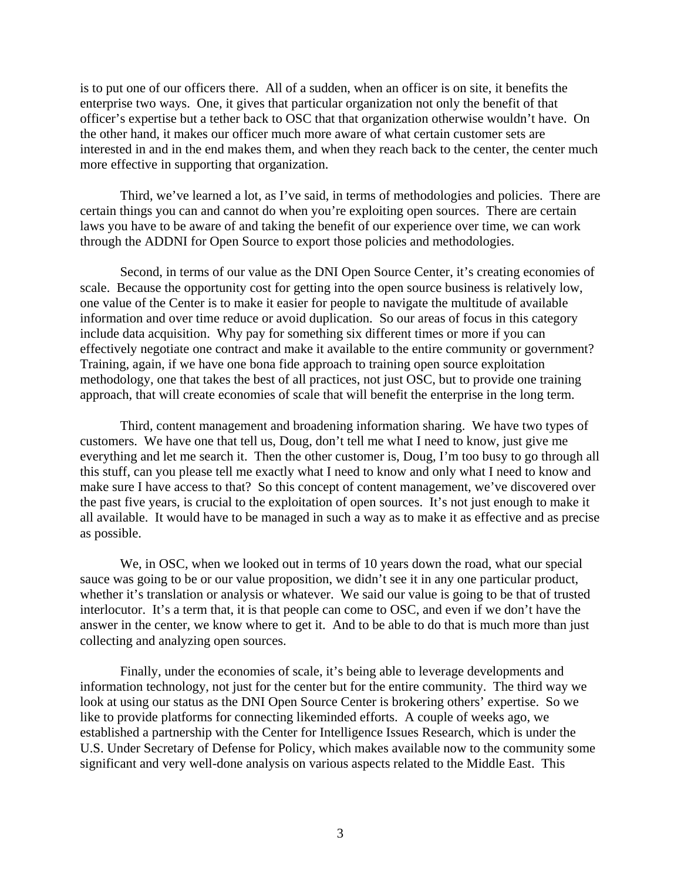is to put one of our officers there. All of a sudden, when an officer is on site, it benefits the enterprise two ways. One, it gives that particular organization not only the benefit of that officer's expertise but a tether back to OSC that that organization otherwise wouldn't have. On the other hand, it makes our officer much more aware of what certain customer sets are interested in and in the end makes them, and when they reach back to the center, the center much more effective in supporting that organization.

Third, we've learned a lot, as I've said, in terms of methodologies and policies. There are certain things you can and cannot do when you're exploiting open sources. There are certain laws you have to be aware of and taking the benefit of our experience over time, we can work through the ADDNI for Open Source to export those policies and methodologies.

Second, in terms of our value as the DNI Open Source Center, it's creating economies of scale. Because the opportunity cost for getting into the open source business is relatively low, one value of the Center is to make it easier for people to navigate the multitude of available information and over time reduce or avoid duplication. So our areas of focus in this category include data acquisition. Why pay for something six different times or more if you can effectively negotiate one contract and make it available to the entire community or government? Training, again, if we have one bona fide approach to training open source exploitation methodology, one that takes the best of all practices, not just OSC, but to provide one training approach, that will create economies of scale that will benefit the enterprise in the long term.

Third, content management and broadening information sharing. We have two types of customers. We have one that tell us, Doug, don't tell me what I need to know, just give me everything and let me search it. Then the other customer is, Doug, I'm too busy to go through all this stuff, can you please tell me exactly what I need to know and only what I need to know and make sure I have access to that? So this concept of content management, we've discovered over the past five years, is crucial to the exploitation of open sources. It's not just enough to make it all available. It would have to be managed in such a way as to make it as effective and as precise as possible.

We, in OSC, when we looked out in terms of 10 years down the road, what our special sauce was going to be or our value proposition, we didn't see it in any one particular product, whether it's translation or analysis or whatever. We said our value is going to be that of trusted interlocutor. It's a term that, it is that people can come to OSC, and even if we don't have the answer in the center, we know where to get it. And to be able to do that is much more than just collecting and analyzing open sources.

Finally, under the economies of scale, it's being able to leverage developments and information technology, not just for the center but for the entire community. The third way we look at using our status as the DNI Open Source Center is brokering others' expertise. So we like to provide platforms for connecting likeminded efforts. A couple of weeks ago, we established a partnership with the Center for Intelligence Issues Research, which is under the U.S. Under Secretary of Defense for Policy, which makes available now to the community some significant and very well-done analysis on various aspects related to the Middle East. This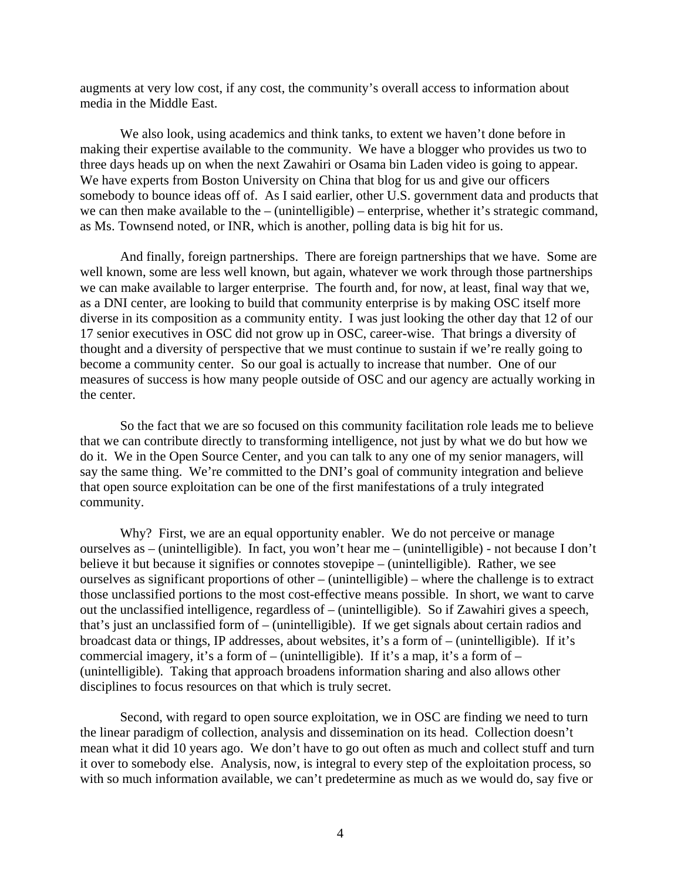augments at very low cost, if any cost, the community's overall access to information about media in the Middle East.

We also look, using academics and think tanks, to extent we haven't done before in making their expertise available to the community. We have a blogger who provides us two to three days heads up on when the next Zawahiri or Osama bin Laden video is going to appear. We have experts from Boston University on China that blog for us and give our officers somebody to bounce ideas off of. As I said earlier, other U.S. government data and products that we can then make available to the – (unintelligible) – enterprise, whether it's strategic command, as Ms. Townsend noted, or INR, which is another, polling data is big hit for us.

And finally, foreign partnerships. There are foreign partnerships that we have. Some are well known, some are less well known, but again, whatever we work through those partnerships we can make available to larger enterprise. The fourth and, for now, at least, final way that we, as a DNI center, are looking to build that community enterprise is by making OSC itself more diverse in its composition as a community entity. I was just looking the other day that 12 of our 17 senior executives in OSC did not grow up in OSC, career-wise. That brings a diversity of thought and a diversity of perspective that we must continue to sustain if we're really going to become a community center. So our goal is actually to increase that number. One of our measures of success is how many people outside of OSC and our agency are actually working in the center.

So the fact that we are so focused on this community facilitation role leads me to believe that we can contribute directly to transforming intelligence, not just by what we do but how we do it. We in the Open Source Center, and you can talk to any one of my senior managers, will say the same thing. We're committed to the DNI's goal of community integration and believe that open source exploitation can be one of the first manifestations of a truly integrated community.

Why? First, we are an equal opportunity enabler. We do not perceive or manage ourselves as – (unintelligible). In fact, you won't hear me – (unintelligible) - not because I don't believe it but because it signifies or connotes stovepipe – (unintelligible). Rather, we see ourselves as significant proportions of other – (unintelligible) – where the challenge is to extract those unclassified portions to the most cost-effective means possible. In short, we want to carve out the unclassified intelligence, regardless of – (unintelligible). So if Zawahiri gives a speech, that's just an unclassified form of – (unintelligible). If we get signals about certain radios and broadcast data or things, IP addresses, about websites, it's a form of – (unintelligible). If it's commercial imagery, it's a form of – (unintelligible). If it's a map, it's a form of – (unintelligible). Taking that approach broadens information sharing and also allows other disciplines to focus resources on that which is truly secret.

Second, with regard to open source exploitation, we in OSC are finding we need to turn the linear paradigm of collection, analysis and dissemination on its head. Collection doesn't mean what it did 10 years ago. We don't have to go out often as much and collect stuff and turn it over to somebody else. Analysis, now, is integral to every step of the exploitation process, so with so much information available, we can't predetermine as much as we would do, say five or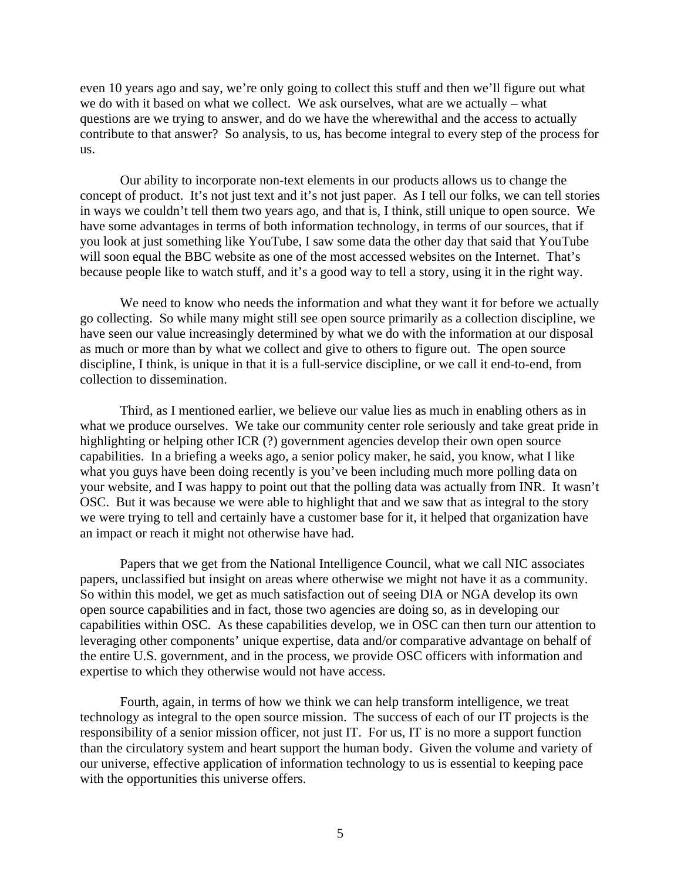even 10 years ago and say, we're only going to collect this stuff and then we'll figure out what we do with it based on what we collect. We ask ourselves, what are we actually – what questions are we trying to answer, and do we have the wherewithal and the access to actually contribute to that answer? So analysis, to us, has become integral to every step of the process for us.

Our ability to incorporate non-text elements in our products allows us to change the concept of product. It's not just text and it's not just paper. As I tell our folks, we can tell stories in ways we couldn't tell them two years ago, and that is, I think, still unique to open source. We have some advantages in terms of both information technology, in terms of our sources, that if you look at just something like YouTube, I saw some data the other day that said that YouTube will soon equal the BBC website as one of the most accessed websites on the Internet. That's because people like to watch stuff, and it's a good way to tell a story, using it in the right way.

We need to know who needs the information and what they want it for before we actually go collecting. So while many might still see open source primarily as a collection discipline, we have seen our value increasingly determined by what we do with the information at our disposal as much or more than by what we collect and give to others to figure out. The open source discipline, I think, is unique in that it is a full-service discipline, or we call it end-to-end, from collection to dissemination.

Third, as I mentioned earlier, we believe our value lies as much in enabling others as in what we produce ourselves. We take our community center role seriously and take great pride in highlighting or helping other ICR (?) government agencies develop their own open source capabilities. In a briefing a weeks ago, a senior policy maker, he said, you know, what I like what you guys have been doing recently is you've been including much more polling data on your website, and I was happy to point out that the polling data was actually from INR. It wasn't OSC. But it was because we were able to highlight that and we saw that as integral to the story we were trying to tell and certainly have a customer base for it, it helped that organization have an impact or reach it might not otherwise have had.

Papers that we get from the National Intelligence Council, what we call NIC associates papers, unclassified but insight on areas where otherwise we might not have it as a community. So within this model, we get as much satisfaction out of seeing DIA or NGA develop its own open source capabilities and in fact, those two agencies are doing so, as in developing our capabilities within OSC. As these capabilities develop, we in OSC can then turn our attention to leveraging other components' unique expertise, data and/or comparative advantage on behalf of the entire U.S. government, and in the process, we provide OSC officers with information and expertise to which they otherwise would not have access.

Fourth, again, in terms of how we think we can help transform intelligence, we treat technology as integral to the open source mission. The success of each of our IT projects is the responsibility of a senior mission officer, not just IT. For us, IT is no more a support function than the circulatory system and heart support the human body. Given the volume and variety of our universe, effective application of information technology to us is essential to keeping pace with the opportunities this universe offers.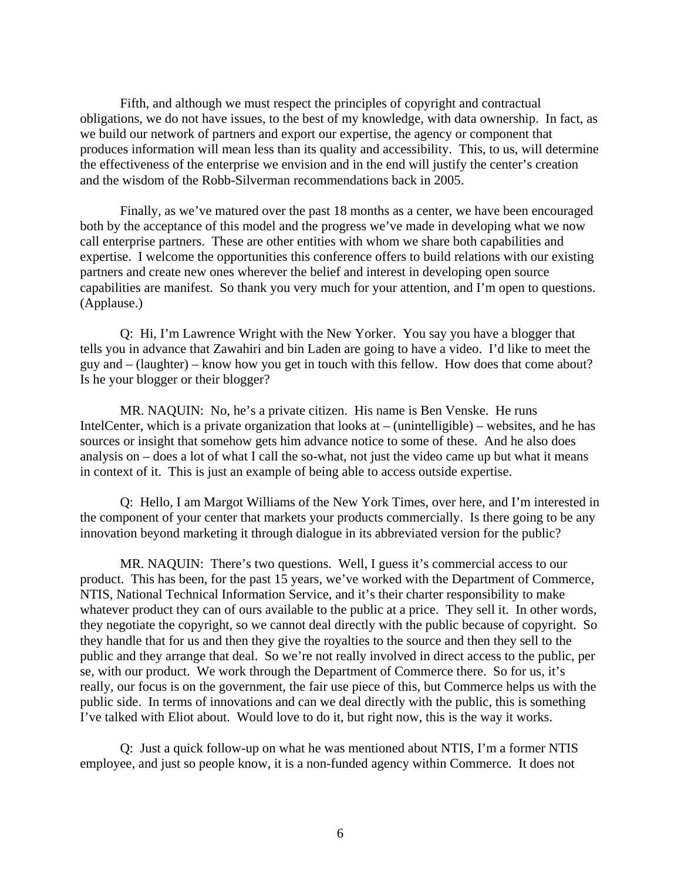Fifth, and although we must respect the principles of copyright and contractual obligations, we do not have issues, to the best of my knowledge, with data ownership. In fact, as we build our network of partners and export our expertise, the agency or component that produces information will mean less than its quality and accessibility. This, to us, will determine the effectiveness of the enterprise we envision and in the end will justify the center's creation and the wisdom of the Robb-Silverman recommendations back in 2005.

Finally, as we've matured over the past 18 months as a center, we have been encouraged both by the acceptance of this model and the progress we've made in developing what we now call enterprise partners. These are other entities with whom we share both capabilities and expertise. I welcome the opportunities this conference offers to build relations with our existing partners and create new ones wherever the belief and interest in developing open source capabilities are manifest. So thank you very much for your attention, and I'm open to questions. (Applause.)

Q: Hi, I'm Lawrence Wright with the New Yorker. You say you have a blogger that tells you in advance that Zawahiri and bin Laden are going to have a video. I'd like to meet the guy and – (laughter) – know how you get in touch with this fellow. How does that come about? Is he your blogger or their blogger?

MR. NAQUIN: No, he's a private citizen. His name is Ben Venske. He runs IntelCenter, which is a private organization that looks at  $-$  (unintelligible)  $-$  websites, and he has sources or insight that somehow gets him advance notice to some of these. And he also does analysis on – does a lot of what I call the so-what, not just the video came up but what it means in context of it. This is just an example of being able to access outside expertise.

Q: Hello, I am Margot Williams of the New York Times, over here, and I'm interested in the component of your center that markets your products commercially. Is there going to be any innovation beyond marketing it through dialogue in its abbreviated version for the public?

MR. NAQUIN: There's two questions. Well, I guess it's commercial access to our product. This has been, for the past 15 years, we've worked with the Department of Commerce, NTIS, National Technical Information Service, and it's their charter responsibility to make whatever product they can of ours available to the public at a price. They sell it. In other words, they negotiate the copyright, so we cannot deal directly with the public because of copyright. So they handle that for us and then they give the royalties to the source and then they sell to the public and they arrange that deal. So we're not really involved in direct access to the public, per se, with our product. We work through the Department of Commerce there. So for us, it's really, our focus is on the government, the fair use piece of this, but Commerce helps us with the public side. In terms of innovations and can we deal directly with the public, this is something I've talked with Eliot about. Would love to do it, but right now, this is the way it works.

Q: Just a quick follow-up on what he was mentioned about NTIS, I'm a former NTIS employee, and just so people know, it is a non-funded agency within Commerce. It does not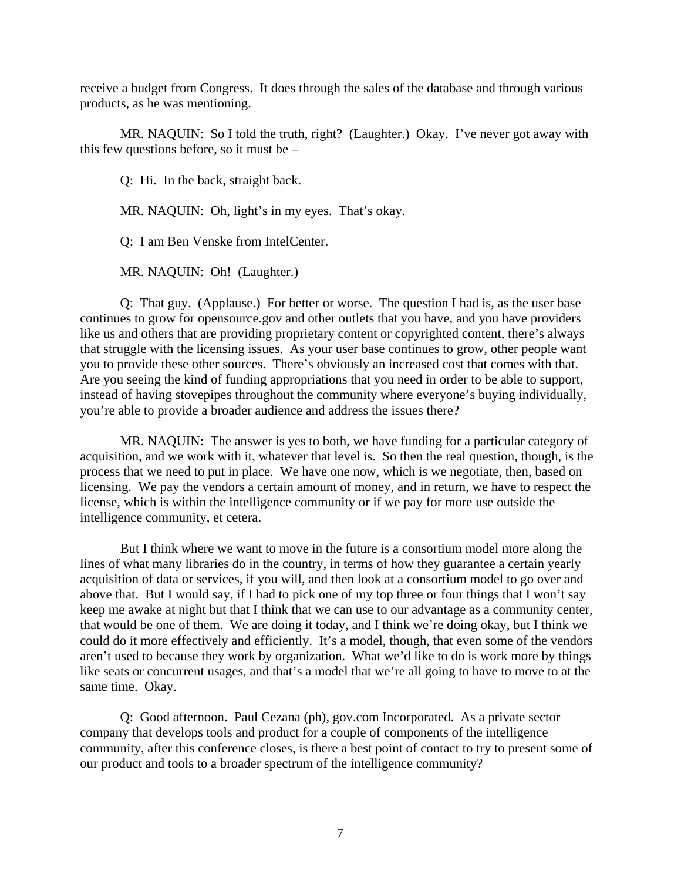receive a budget from Congress. It does through the sales of the database and through various products, as he was mentioning.

MR. NAQUIN: So I told the truth, right? (Laughter.) Okay. I've never got away with this few questions before, so it must be –

Q: Hi. In the back, straight back.

MR. NAQUIN: Oh, light's in my eyes. That's okay.

Q: I am Ben Venske from IntelCenter.

MR. NAQUIN: Oh! (Laughter.)

Q: That guy. (Applause.) For better or worse. The question I had is, as the user base continues to grow for opensource.gov and other outlets that you have, and you have providers like us and others that are providing proprietary content or copyrighted content, there's always that struggle with the licensing issues. As your user base continues to grow, other people want you to provide these other sources. There's obviously an increased cost that comes with that. Are you seeing the kind of funding appropriations that you need in order to be able to support, instead of having stovepipes throughout the community where everyone's buying individually, you're able to provide a broader audience and address the issues there?

MR. NAQUIN: The answer is yes to both, we have funding for a particular category of acquisition, and we work with it, whatever that level is. So then the real question, though, is the process that we need to put in place. We have one now, which is we negotiate, then, based on licensing. We pay the vendors a certain amount of money, and in return, we have to respect the license, which is within the intelligence community or if we pay for more use outside the intelligence community, et cetera.

But I think where we want to move in the future is a consortium model more along the lines of what many libraries do in the country, in terms of how they guarantee a certain yearly acquisition of data or services, if you will, and then look at a consortium model to go over and above that. But I would say, if I had to pick one of my top three or four things that I won't say keep me awake at night but that I think that we can use to our advantage as a community center, that would be one of them. We are doing it today, and I think we're doing okay, but I think we could do it more effectively and efficiently. It's a model, though, that even some of the vendors aren't used to because they work by organization. What we'd like to do is work more by things like seats or concurrent usages, and that's a model that we're all going to have to move to at the same time. Okay.

Q: Good afternoon. Paul Cezana (ph), gov.com Incorporated. As a private sector company that develops tools and product for a couple of components of the intelligence community, after this conference closes, is there a best point of contact to try to present some of our product and tools to a broader spectrum of the intelligence community?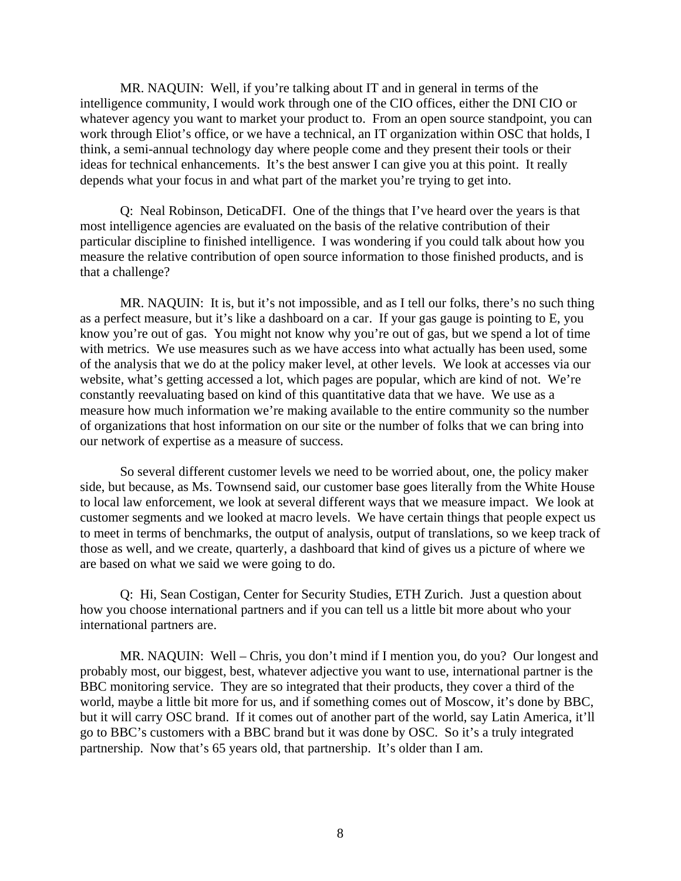MR. NAQUIN: Well, if you're talking about IT and in general in terms of the intelligence community, I would work through one of the CIO offices, either the DNI CIO or whatever agency you want to market your product to. From an open source standpoint, you can work through Eliot's office, or we have a technical, an IT organization within OSC that holds, I think, a semi-annual technology day where people come and they present their tools or their ideas for technical enhancements. It's the best answer I can give you at this point. It really depends what your focus in and what part of the market you're trying to get into.

Q: Neal Robinson, DeticaDFI. One of the things that I've heard over the years is that most intelligence agencies are evaluated on the basis of the relative contribution of their particular discipline to finished intelligence. I was wondering if you could talk about how you measure the relative contribution of open source information to those finished products, and is that a challenge?

MR. NAQUIN: It is, but it's not impossible, and as I tell our folks, there's no such thing as a perfect measure, but it's like a dashboard on a car. If your gas gauge is pointing to E, you know you're out of gas. You might not know why you're out of gas, but we spend a lot of time with metrics. We use measures such as we have access into what actually has been used, some of the analysis that we do at the policy maker level, at other levels. We look at accesses via our website, what's getting accessed a lot, which pages are popular, which are kind of not. We're constantly reevaluating based on kind of this quantitative data that we have. We use as a measure how much information we're making available to the entire community so the number of organizations that host information on our site or the number of folks that we can bring into our network of expertise as a measure of success.

So several different customer levels we need to be worried about, one, the policy maker side, but because, as Ms. Townsend said, our customer base goes literally from the White House to local law enforcement, we look at several different ways that we measure impact. We look at customer segments and we looked at macro levels. We have certain things that people expect us to meet in terms of benchmarks, the output of analysis, output of translations, so we keep track of those as well, and we create, quarterly, a dashboard that kind of gives us a picture of where we are based on what we said we were going to do.

Q: Hi, Sean Costigan, Center for Security Studies, ETH Zurich. Just a question about how you choose international partners and if you can tell us a little bit more about who your international partners are.

MR. NAQUIN: Well – Chris, you don't mind if I mention you, do you? Our longest and probably most, our biggest, best, whatever adjective you want to use, international partner is the BBC monitoring service. They are so integrated that their products, they cover a third of the world, maybe a little bit more for us, and if something comes out of Moscow, it's done by BBC, but it will carry OSC brand. If it comes out of another part of the world, say Latin America, it'll go to BBC's customers with a BBC brand but it was done by OSC. So it's a truly integrated partnership. Now that's 65 years old, that partnership. It's older than I am.